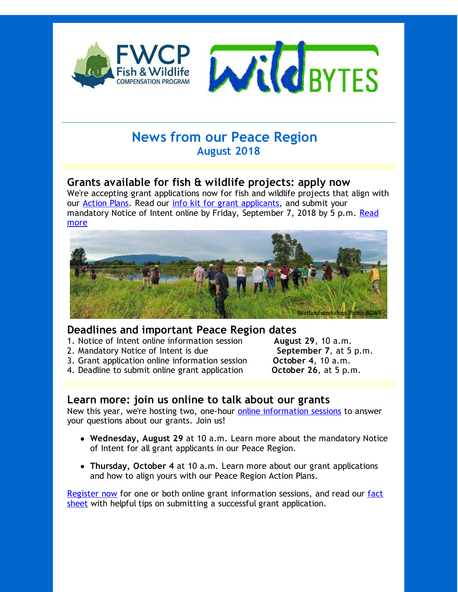

# **News from our Peace Region August 2018**

### **Grants available for fish & wildlife projects: apply now**

We're accepting grant applications now for fish and wildlife projects that align with our [Action](http://r20.rs6.net/tn.jsp?f=001Da7wUJ1k_tmuOflY--tf5Ei0ibWnGOBW3y-mDo_OWZYLwmQq9gfFm6mNlOBqcrW_nQIszv7ETuIij9k50G3L6QfYWILSm4skF7u1AWcxro0cfju9DKlSfGii44MA4NfiM3lhWKAWaK6gNix4R6o9rCFmJAFFUNCxhBdV7ECK5r2N-5t2qwTISbt6G7Urm5Di&c=&ch=) Plans. Read our info kit for grant [applicants](http://r20.rs6.net/tn.jsp?f=001Da7wUJ1k_tmuOflY--tf5Ei0ibWnGOBW3y-mDo_OWZYLwmQq9gfFm6KrUNmqS7TKJF4WocJzW9qfl5h2GFQ6RUSsUpGHn61S4g-i2V5S5fboxQTAxywiq5BLgAS5udDXgibnmfl6EpHNkJy1-ei837LCwdFoRxtT2zoDlaf2CLKcq_YSYq7fhKnDhpBAVWFVcUTYoYALwew=&c=&ch=), and submit your [mandatory](http://r20.rs6.net/tn.jsp?f=001Da7wUJ1k_tmuOflY--tf5Ei0ibWnGOBW3y-mDo_OWZYLwmQq9gfFmzlaToslk4Su7gyCrd1nfpTY-aVtj-1dgUgP3F8QNZy2-qBzCWzUWL-govwLb3cSzjr63PGpLGgbviyKNxJBD1Vdav2k3plrjfFG6CjechmVI_s-ZuHeMV1Xy_FbHsZvWoQiLKnEdua7&c=&ch=) Notice of Intent online by Friday, September 7, 2018 by 5 p.m. Read more



#### **Deadlines and important Peace Region dates**

- 1. Notice of Intent online information session **August 29**, 10 a.m.
- 2. Mandatory Notice of Intent is due **September 7**, at 5 p.m.
- 3. Grant application online information session **October 4**, 10 a.m.
- 4. Deadline to submit online grant application **October 26**, at 5 p.m.

### **Learn more: join us online to talk about our grants**

New this year, we're hosting two, one-hour online [information](http://r20.rs6.net/tn.jsp?f=001Da7wUJ1k_tmuOflY--tf5Ei0ibWnGOBW3y-mDo_OWZYLwmQq9gfFm6KrUNmqS7TKX1mByVi-CDx4WvybrC0BmETHaMwPsiKQgG0x0NuVFQB5j9KlIHbaVGjCxUXXrj7UWJ_WAOjF6l2Nxor72pPXkjro8VUDSzLhciRArxrl7UjFSS4ZBAVRizErDBjhldWIXtCS9x28SYw=&c=&ch=) sessions to answer your questions about our grants. Join us!

- **Wednesday, August 29** at 10 a.m. Learn more about the mandatory Notice of Intent for all grant applicants in our Peace Region.
- **Thursday, October 4** at 10 a.m. Learn more about our grant applications and how to align yours with our Peace Region Action Plans.

[Register](mailto:fwcp@bchydro.com) now for one or both online grant [information](http://r20.rs6.net/tn.jsp?f=001Da7wUJ1k_tmuOflY--tf5Ei0ibWnGOBW3y-mDo_OWZYLwmQq9gfFm6KrUNmqS7TK7oCbNJFsSdSsOl3e65itBTN5mO8evXPhNyALXXAfYZpavXRohEFNZUUlbMhyE8GOtkYecTxzDDVcwyLpRwy-7CzUYz7VEDbbosMWQN72iLJq4GbRUdFZlwkOrakRMw29hajwdHmfyGzwcTdHhFVIPrnI2zSYBP9vEwK4v5xenE-shwyBKJIt0sc7ItL0IVe-JcSrl7v2AVaSF9o5J9zUzA==&c=&ch=) sessions, and read our fact sheet with helpful tips on submitting a successful grant application.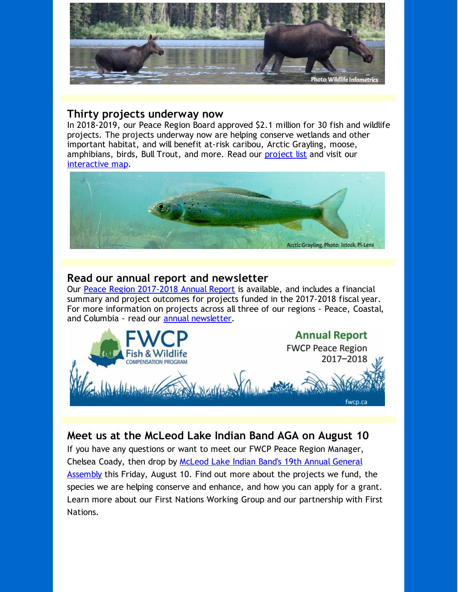

#### **Thirty projects underway now**

In 2018-2019, our Peace Region Board approved \$2.1 million for 30 fish and wildlife projects. The projects underway now are helping conserve wetlands and other important habitat, and will benefit at-risk caribou, Arctic Grayling, moose, amphibians, birds, Bull Trout, and more. Read our [project](http://r20.rs6.net/tn.jsp?f=001Da7wUJ1k_tmuOflY--tf5Ei0ibWnGOBW3y-mDo_OWZYLwmQq9gfFm6KrUNmqS7TKoxiNxrjXSO5ElCVERxVPzhyNvUjruPp1mT67B32zj7Gbrgc98ERDgeGm5yWxa5nl0d71lI0Yh0VRn40CSzN7E7m9q0QrUNGP2yQF4qxRun_FywjfNdc7sQ==&c=&ch=) list and visit our [interactive](http://r20.rs6.net/tn.jsp?f=001Da7wUJ1k_tmuOflY--tf5Ei0ibWnGOBW3y-mDo_OWZYLwmQq9gfFm6mNlOBqcrW_nQIszv7ETuIij9k50G3L6QfYWILSm4skF7u1AWcxro0cfju9DKlSfGii44MA4NfiM3lhWKAWaK6gNix4R6o9rCFmJAFFUNCxhBdV7ECK5r2N-5t2qwTISbt6G7Urm5Di&c=&ch=) map.



### **Read our annual report and newsletter**

Our Peace Region [2017-2018](http://r20.rs6.net/tn.jsp?f=001Da7wUJ1k_tmuOflY--tf5Ei0ibWnGOBW3y-mDo_OWZYLwmQq9gfFm6KrUNmqS7TK5hSVlwihbUNgPyWFPf06o_XbKlLYiIfORtIs8MEBthuW817qTQf2Y6Doxenbxea2XM_uuYXBIMTOM0agPLXHfl50FynPw1CU0zV4PreXSXrCBqZw0PK1mA==&c=&ch=) Annual Report is available, and includes a financial summary and project outcomes for projects funded in the 2017-2018 fiscal year. For more information on projects across all three of our regions - Peace, Coastal, and Columbia - read our **annual [newsletter](http://r20.rs6.net/tn.jsp?f=001Da7wUJ1k_tmuOflY--tf5Ei0ibWnGOBW3y-mDo_OWZYLwmQq9gfFm__ICK5WsfOeeJtsuCQF33dZd8Vno2uTomwyoQnN6mEfwV7FTAABUGBz5nMI9wtfJS2LH1_d7i4VSjgqXmYLdGHrzP4GnzLLa86OHhNjBTXrho3S8xRUsEQBPWCwsrbH3VGD9FyKRXBr&c=&ch=)**.



## **Meet us at the McLeod Lake Indian Band AGA on August 10**

If you have any questions or want to meet our FWCP Peace Region Manager, Chelsea Coady, then drop by McLeod Lake Indian Band's 19th Annual General [Assembly](http://r20.rs6.net/tn.jsp?f=001Da7wUJ1k_tmuOflY--tf5Ei0ibWnGOBW3y-mDo_OWZYLwmQq9gfFm6KrUNmqS7TKQWlugO1yhejUF68R6u0P9hVkGfRBH166dDIx8-euRpk1uQyc7oCRnyyo31hLsVwseSaNAUYLgFfYmSI-b6yApcEYT3qryzTJoKxZHKtg7xTUEC2UPWH9KSUSRlow1wG7Any5E0h40uF8RBVl0_4s7W8MfZIQqe83b-wkrj1qRpE=&c=&ch=) this Friday, August 10. Find out more about the projects we fund, the species we are helping conserve and enhance, and how you can apply for a grant. Learn more about our First Nations Working Group and our partnership with First Nations.